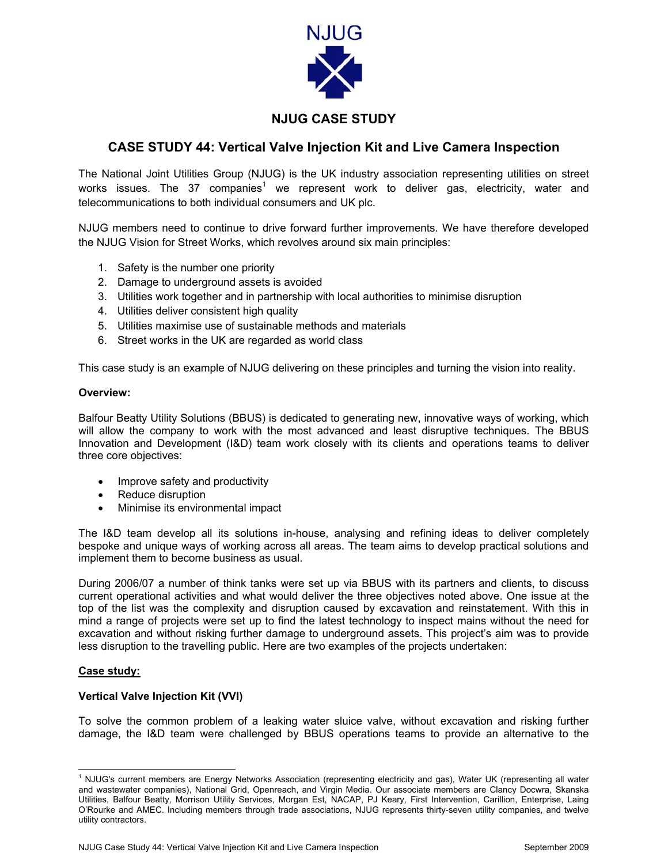

## **NJUG CASE STUDY**

### **CASE STUDY 44: Vertical Valve Injection Kit and Live Camera Inspection**

The National Joint Utilities Group (NJUG) is the UK industry association representing utilities on street works issues. The 37 companies<sup>[1](#page-0-0)</sup> we represent work to deliver gas, electricity, water and telecommunications to both individual consumers and UK plc.

NJUG members need to continue to drive forward further improvements. We have therefore developed the NJUG Vision for Street Works, which revolves around six main principles:

- 1. Safety is the number one priority
- 2. Damage to underground assets is avoided
- 3. Utilities work together and in partnership with local authorities to minimise disruption
- 4. Utilities deliver consistent high quality
- 5. Utilities maximise use of sustainable methods and materials
- 6. Street works in the UK are regarded as world class

This case study is an example of NJUG delivering on these principles and turning the vision into reality.

#### **Overview:**

Balfour Beatty Utility Solutions (BBUS) is dedicated to generating new, innovative ways of working, which will allow the company to work with the most advanced and least disruptive techniques. The BBUS Innovation and Development (I&D) team work closely with its clients and operations teams to deliver three core objectives:

- Improve safety and productivity
- Reduce disruption
- Minimise its environmental impact

The I&D team develop all its solutions in-house, analysing and refining ideas to deliver completely bespoke and unique ways of working across all areas. The team aims to develop practical solutions and implement them to become business as usual.

During 2006/07 a number of think tanks were set up via BBUS with its partners and clients, to discuss current operational activities and what would deliver the three objectives noted above. One issue at the top of the list was the complexity and disruption caused by excavation and reinstatement. With this in mind a range of projects were set up to find the latest technology to inspect mains without the need for excavation and without risking further damage to underground assets. This project's aim was to provide less disruption to the travelling public. Here are two examples of the projects undertaken:

#### **Case study:**

#### **Vertical Valve Injection Kit (VVI)**

To solve the common problem of a leaking water sluice valve, without excavation and risking further damage, the I&D team were challenged by BBUS operations teams to provide an alternative to the

<span id="page-0-0"></span> $\frac{1}{1}$  $1$  NJUG's current members are Energy Networks Association (representing electricity and gas), Water UK (representing all water and wastewater companies), National Grid, Openreach, and Virgin Media. Our associate members are Clancy Docwra, Skanska Utilities, Balfour Beatty, Morrison Utility Services, Morgan Est, NACAP, PJ Keary, First Intervention, Carillion, Enterprise, Laing O'Rourke and AMEC. Including members through trade associations, NJUG represents thirty-seven utility companies, and twelve utility contractors.